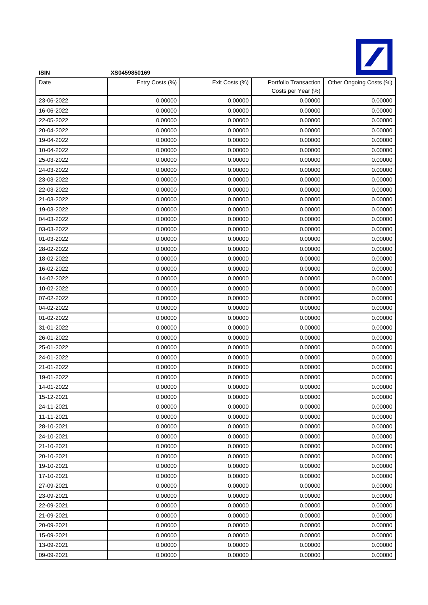

| <b>ISIN</b> | XS0459850169    |                |                                             |                         |
|-------------|-----------------|----------------|---------------------------------------------|-------------------------|
| Date        | Entry Costs (%) | Exit Costs (%) | Portfolio Transaction<br>Costs per Year (%) | Other Ongoing Costs (%) |
| 23-06-2022  | 0.00000         | 0.00000        | 0.00000                                     | 0.00000                 |
| 16-06-2022  | 0.00000         | 0.00000        | 0.00000                                     | 0.00000                 |
| 22-05-2022  | 0.00000         | 0.00000        | 0.00000                                     | 0.00000                 |
| 20-04-2022  | 0.00000         | 0.00000        | 0.00000                                     | 0.00000                 |
| 19-04-2022  | 0.00000         | 0.00000        | 0.00000                                     | 0.00000                 |
| 10-04-2022  | 0.00000         | 0.00000        | 0.00000                                     | 0.00000                 |
| 25-03-2022  | 0.00000         | 0.00000        | 0.00000                                     | 0.00000                 |
| 24-03-2022  | 0.00000         | 0.00000        | 0.00000                                     | 0.00000                 |
| 23-03-2022  | 0.00000         | 0.00000        | 0.00000                                     | 0.00000                 |
| 22-03-2022  | 0.00000         | 0.00000        | 0.00000                                     | 0.00000                 |
| 21-03-2022  | 0.00000         | 0.00000        | 0.00000                                     | 0.00000                 |
| 19-03-2022  | 0.00000         | 0.00000        | 0.00000                                     | 0.00000                 |
| 04-03-2022  | 0.00000         | 0.00000        | 0.00000                                     | 0.00000                 |
| 03-03-2022  | 0.00000         | 0.00000        | 0.00000                                     | 0.00000                 |
| 01-03-2022  | 0.00000         | 0.00000        | 0.00000                                     | 0.00000                 |
| 28-02-2022  | 0.00000         | 0.00000        | 0.00000                                     | 0.00000                 |
| 18-02-2022  | 0.00000         | 0.00000        | 0.00000                                     | 0.00000                 |
| 16-02-2022  | 0.00000         | 0.00000        | 0.00000                                     | 0.00000                 |
| 14-02-2022  | 0.00000         | 0.00000        | 0.00000                                     | 0.00000                 |
| 10-02-2022  | 0.00000         | 0.00000        | 0.00000                                     | 0.00000                 |
| 07-02-2022  | 0.00000         | 0.00000        | 0.00000                                     | 0.00000                 |
| 04-02-2022  | 0.00000         | 0.00000        | 0.00000                                     | 0.00000                 |
| 01-02-2022  | 0.00000         | 0.00000        | 0.00000                                     | 0.00000                 |
| 31-01-2022  | 0.00000         | 0.00000        | 0.00000                                     | 0.00000                 |
| 26-01-2022  | 0.00000         | 0.00000        | 0.00000                                     | 0.00000                 |
| 25-01-2022  | 0.00000         | 0.00000        | 0.00000                                     | 0.00000                 |
| 24-01-2022  | 0.00000         | 0.00000        | 0.00000                                     | 0.00000                 |
| 21-01-2022  | 0.00000         | 0.00000        | 0.00000                                     | 0.00000                 |
| 19-01-2022  | 0.00000         | 0.00000        | 0.00000                                     | 0.00000                 |
| 14-01-2022  | 0.00000         | 0.00000        | 0.00000                                     | 0.00000                 |
| 15-12-2021  | 0.00000         | 0.00000        | 0.00000                                     | 0.00000                 |
| 24-11-2021  | 0.00000         | 0.00000        | 0.00000                                     | 0.00000                 |
| 11-11-2021  | 0.00000         | 0.00000        | 0.00000                                     | 0.00000                 |
| 28-10-2021  | 0.00000         | 0.00000        | 0.00000                                     | 0.00000                 |
| 24-10-2021  | 0.00000         | 0.00000        | 0.00000                                     | 0.00000                 |
| 21-10-2021  | 0.00000         | 0.00000        | 0.00000                                     | 0.00000                 |
| 20-10-2021  | 0.00000         | 0.00000        | 0.00000                                     | 0.00000                 |
| 19-10-2021  | 0.00000         | 0.00000        | 0.00000                                     | 0.00000                 |
| 17-10-2021  | 0.00000         | 0.00000        | 0.00000                                     | 0.00000                 |
| 27-09-2021  | 0.00000         | 0.00000        | 0.00000                                     | 0.00000                 |
| 23-09-2021  | 0.00000         | 0.00000        | 0.00000                                     | 0.00000                 |
| 22-09-2021  | 0.00000         | 0.00000        | 0.00000                                     | 0.00000                 |
| 21-09-2021  | 0.00000         | 0.00000        | 0.00000                                     | 0.00000                 |
| 20-09-2021  | 0.00000         | 0.00000        | 0.00000                                     | 0.00000                 |
| 15-09-2021  | 0.00000         | 0.00000        | 0.00000                                     | 0.00000                 |
| 13-09-2021  | 0.00000         | 0.00000        | 0.00000                                     | 0.00000                 |
| 09-09-2021  | 0.00000         | 0.00000        | 0.00000                                     | 0.00000                 |